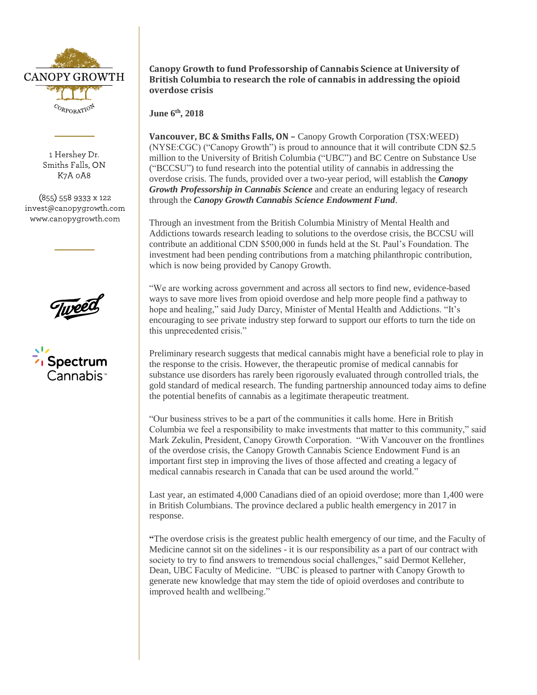

1 Hershey Dr. Smiths Falls, ON K7A 0A8

(855) 558 9333 x 122 invest@canopygrowth.com www.canopygrowth.com





**Canopy Growth to fund Professorship of Cannabis Science at University of British Columbia to research the role of cannabis in addressing the opioid overdose crisis**

**June 6 th, 2018**

**Vancouver, BC & Smiths Falls, ON –** Canopy Growth Corporation (TSX:WEED) (NYSE:CGC) ("Canopy Growth") is proud to announce that it will contribute CDN \$2.5 million to the University of British Columbia ("UBC") and BC Centre on Substance Use ("BCCSU") to fund research into the potential utility of cannabis in addressing the overdose crisis. The funds, provided over a two-year period, will establish the *Canopy Growth Professorship in Cannabis Science* and create an enduring legacy of research through the *Canopy Growth Cannabis Science Endowment Fund*.

Through an investment from the British Columbia Ministry of Mental Health and Addictions towards research leading to solutions to the overdose crisis, the BCCSU will contribute an additional CDN \$500,000 in funds held at the St. Paul's Foundation. The investment had been pending contributions from a matching philanthropic contribution, which is now being provided by Canopy Growth.

"We are working across government and across all sectors to find new, evidence-based ways to save more lives from opioid overdose and help more people find a pathway to hope and healing," said Judy Darcy, Minister of Mental Health and Addictions. "It's encouraging to see private industry step forward to support our efforts to turn the tide on this unprecedented crisis."

Preliminary research suggests that medical cannabis might have a beneficial role to play in the response to the crisis. However, the therapeutic promise of medical cannabis for substance use disorders has rarely been rigorously evaluated through controlled trials, the gold standard of medical research. The funding partnership announced today aims to define the potential benefits of cannabis as a legitimate therapeutic treatment.

"Our business strives to be a part of the communities it calls home. Here in British Columbia we feel a responsibility to make investments that matter to this community," said Mark Zekulin, President, Canopy Growth Corporation. "With Vancouver on the frontlines of the overdose crisis, the Canopy Growth Cannabis Science Endowment Fund is an important first step in improving the lives of those affected and creating a legacy of medical cannabis research in Canada that can be used around the world."

Last year, an estimated 4,000 Canadians died of an opioid overdose; more than 1,400 were in British Columbians. The province declared a public health emergency in 2017 in response.

**"**The overdose crisis is the greatest public health emergency of our time, and the Faculty of Medicine cannot sit on the sidelines - it is our responsibility as a part of our contract with society to try to find answers to tremendous social challenges," said Dermot Kelleher, Dean, UBC Faculty of Medicine. "UBC is pleased to partner with Canopy Growth to generate new knowledge that may stem the tide of opioid overdoses and contribute to improved health and wellbeing."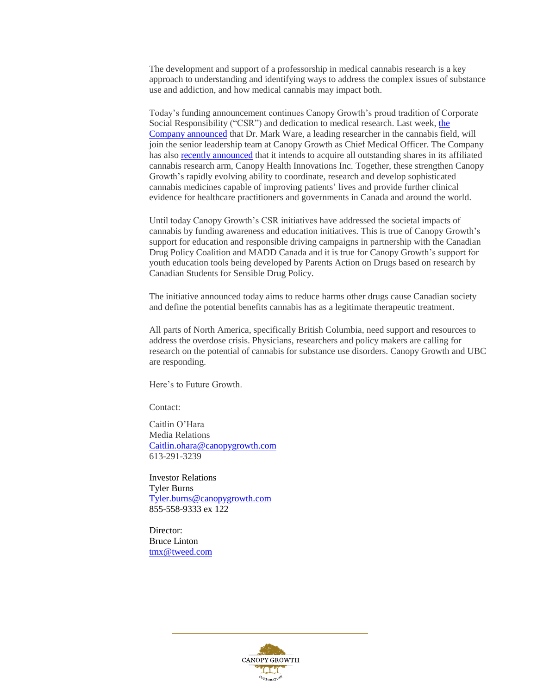The development and support of a professorship in medical cannabis research is a key approach to understanding and identifying ways to address the complex issues of substance use and addiction, and how medical cannabis may impact both.

Today's funding announcement continues Canopy Growth's proud tradition of Corporate Social Responsibility ("CSR") and dedication to medical research. Last week, [the](https://www.newswire.ca/news-releases/dr-mark-ware-joins-canopy-growth-corporation-as-chief-medical-officer-683849601.html)  [Company announced](https://www.newswire.ca/news-releases/dr-mark-ware-joins-canopy-growth-corporation-as-chief-medical-officer-683849601.html) that Dr. Mark Ware, a leading researcher in the cannabis field, will join the senior leadership team at Canopy Growth as Chief Medical Officer. The Company has also [recently announced](https://www.newswire.ca/news-releases/canopy-growth-enters-agreement-to-acquire-outstanding-shares-of-research-arm-canopy-health-innovations-682646891.html) that it intends to acquire all outstanding shares in its affiliated cannabis research arm, Canopy Health Innovations Inc. Together, these strengthen Canopy Growth's rapidly evolving ability to coordinate, research and develop sophisticated cannabis medicines capable of improving patients' lives and provide further clinical evidence for healthcare practitioners and governments in Canada and around the world.

Until today Canopy Growth's CSR initiatives have addressed the societal impacts of cannabis by funding awareness and education initiatives. This is true of Canopy Growth's support for education and responsible driving campaigns in partnership with the Canadian Drug Policy Coalition and MADD Canada and it is true for Canopy Growth's support for youth education tools being developed by Parents Action on Drugs based on research by Canadian Students for Sensible Drug Policy.

The initiative announced today aims to reduce harms other drugs cause Canadian society and define the potential benefits cannabis has as a legitimate therapeutic treatment.

All parts of North America, specifically British Columbia, need support and resources to address the overdose crisis. Physicians, researchers and policy makers are calling for research on the potential of cannabis for substance use disorders. Canopy Growth and UBC are responding.

Here's to Future Growth.

Contact:

Caitlin O'Hara Media Relations [Caitlin.ohara@canopygrowth.com](mailto:Caitlin.ohara@canopygrowth.com) 613-291-3239

Investor Relations Tyler Burns [Tyler.burns@canopygrowth.com](mailto:Tyler.burns@canopygrowth.com) 855-558-9333 ex 122

Director: Bruce Linton [tmx@tweed.com](mailto:tmx@tweed.com)